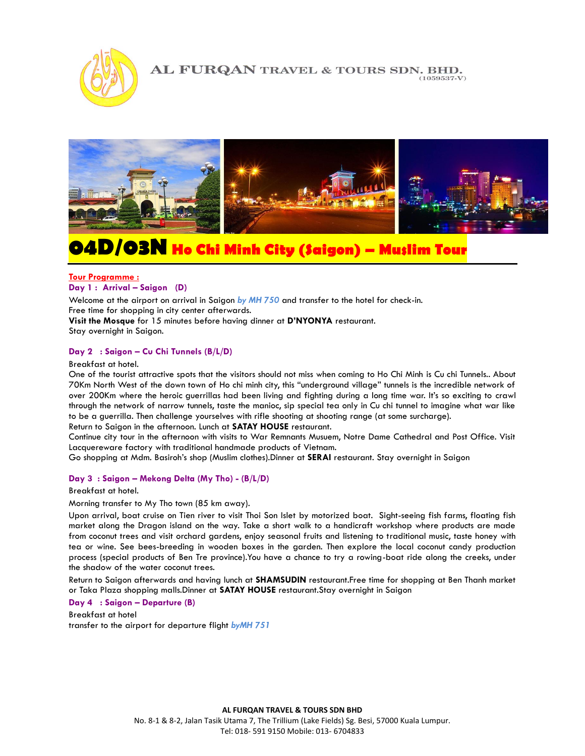

# AL FURQAN TRAVEL & TOURS SDN. BHD.



# **04D/03N Ho Chi Minh City (Saigon) – Muslim Tour**

#### I **Tour Programme : Day 1 :** Arrival – Saigon (D)

Welcome at the airport on arrival in Saigon *by MH 750* and transfer to the hotel for check-in.

Free time for shopping in city center afterwards.

**Visit the Mosque** for 15 minutes before having dinner at **D'NYONYA** restaurant.

Stay overnight in Saigon.

# **Day 2 : Saigon – Cu Chi Tunnels (B/L/D)**

Breakfast at hotel.

One of the tourist attractive spots that the visitors should not miss when coming to Ho Chi Minh is Cu chi Tunnels.. About 70Km North West of the down town of Ho chi minh city, this "underground village" tunnels is the incredible network of over 200Km where the heroic guerrillas had been living and fighting during a long time war. It's so exciting to crawl through the network of narrow tunnels, taste the manioc, sip special tea only in Cu chi tunnel to imagine what war like to be a guerrilla. Then challenge yourselves with rifle shooting at shooting range (at some surcharge).

Return to Saigon in the afternoon. Lunch at **SATAY HOUSE** restaurant.

Continue city tour in the afternoon with visits to War Remnants Musuem, Notre Dame Cathedral and Post Office. Visit Lacquereware factory with traditional handmade products of Vietnam.

Go shopping at Mdm. Basiroh's shop (Muslim clothes).Dinner at **SERAI** restaurant. Stay overnight in Saigon

#### **Day 3 : Saigon – Mekong Delta (My Tho) - (B/L/D)**

Breakfast at hotel.

Morning transfer to My Tho town (85 km away).

Upon arrival, boat cruise on Tien river to visit Thoi Son Islet by motorized boat. Sight-seeing fish farms, floating fish market along the Dragon island on the way. Take a short walk to a handicraft workshop where products are made from coconut trees and visit orchard gardens, enjoy seasonal fruits and listening to traditional music, taste honey with tea or wine. See bees-breeding in wooden boxes in the garden. Then explore the local coconut candy production process (special products of Ben Tre province).You have a chance to try a rowing-boat ride along the creeks, under the shadow of the water coconut trees.

Return to Saigon afterwards and having lunch at **SHAMSUDIN** restaurant.Free time for shopping at Ben Thanh market or Taka Plaza shopping malls.Dinner at **SATAY HOUSE** restaurant.Stay overnight in Saigon

**Day 4 : Saigon – Departure (B)**

Breakfast at hotel transfer to the airport for departure flight *byMH 751*